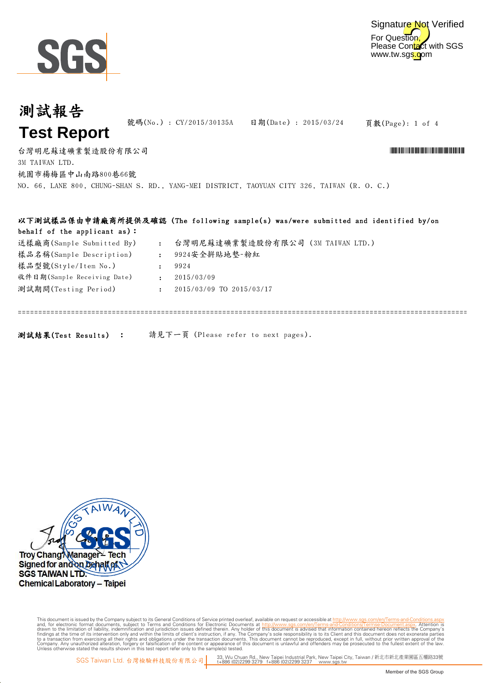

測試報告

| 测试瓶舌                                                    | 號碼(No.): CY/2015/30135A |                                                                                             |                                                                                                                                                                                                                                      |
|---------------------------------------------------------|-------------------------|---------------------------------------------------------------------------------------------|--------------------------------------------------------------------------------------------------------------------------------------------------------------------------------------------------------------------------------------|
| <b>Test Report</b>                                      |                         | 日期(Date): 2015/03/24                                                                        | 頁數(Page): 1 of 4                                                                                                                                                                                                                     |
| 台灣明尼蘇達礦業製造股份有限公司<br>3M TAIWAN LTD.<br>桃園市楊梅區中山南路800巷66號 |                         |                                                                                             | <u> 1989 - An Dùbhlachd ann an Dùbhad ann an Dùbhad ann an Dùbhad ann an Dùbhlachd ann an Dùbhlachd ann an Dùbhlachd ann an Dùbhlachd ann an Dùbhlachd ann an Dùbhlachd ann an Dùbhlachd ann an Dùbhlachd ann an Dùbhlachd ann a</u> |
|                                                         |                         | NO. 66, LANE 800, CHUNG-SHAN S. RD., YANG-MEI DISTRICT, TAOYUAN CITY 326, TAIWAN (R. O. C.) |                                                                                                                                                                                                                                      |
| behalf of the applicant as):                            |                         | 以下測試樣品係由申請廠商所提供及確認(The following sample(s) was/were submitted and identified by/on          |                                                                                                                                                                                                                                      |

| 送樣廠商(Sample Submitted By)   | 台灣明尼蘇達礦業製造股份有限公司 (3M TAIWAN LTD.) |
|-----------------------------|-----------------------------------|
| 樣品名稱(Sample Description)    | 9924安全拼貼地墊-粉紅                     |
| 樣品型號(Style/Item No.)        | 9924                              |
| 收件日期(Sample Receiving Date) | 2015/03/09                        |
| 測試期間(Testing Period)        | 2015/03/09 TO 2015/03/17          |
|                             |                                   |
|                             |                                   |

測試結果(Test Results) : 請見下一頁 (Please refer to next pages).



Digitally signed by ww.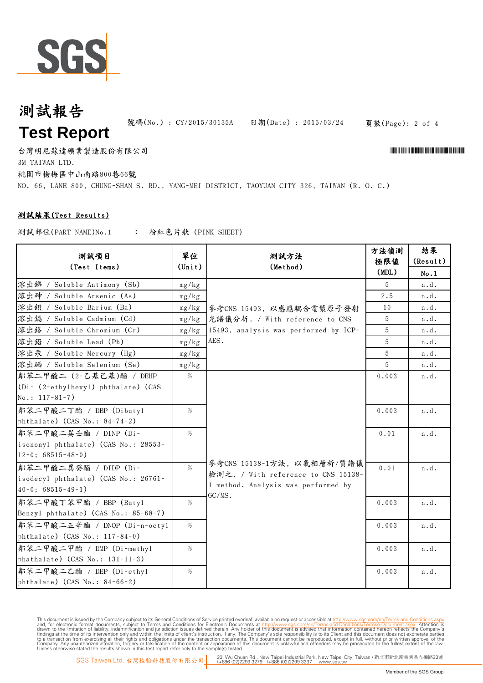

## 測試報告 **Test Report**

號碼(No.): CY/2015/30135A 日期(Date): 2015/03/24 頁數(Page): 2 of 4

3M TAIWAN LTD. 台灣明尼蘇達礦業製造股份有限公司 \*CY/2015/30135A\*

桃園市楊梅區中山南路800巷66號

NO. 66, LANE 800, CHUNG-SHAN S. RD., YANG-MEI DISTRICT, TAOYUAN CITY 326, TAIWAN (R. O. C.)

#### 測試結果(Test Results)

: 粉紅色片狀 (PINK SHEET) 測試部位(PART NAME)No.1

| 測試項目<br>(Test Items)                                     | 單位<br>$(\text{Unit})$ | 測試方法<br>(Method)                      | 方法偵測<br>極限値<br>(MDL) | 結果<br>(Result)<br>No.1 |
|----------------------------------------------------------|-----------------------|---------------------------------------|----------------------|------------------------|
| 溶出錦 / Soluble Antimony (Sb)                              | mg/kg                 |                                       | 5.                   | n.d.                   |
| 溶出砷 / Soluble Arsenic (As)                               | mg/kg                 |                                       | $2\,.5$              | n.d.                   |
| 溶出鋇 / Soluble Barium (Ba)                                | mg/kg                 | 參考CNS 15493, 以感應耦合電漿原子發射              | 10                   | n.d.                   |
| 溶出鍋 / Soluble Cadmium (Cd)                               | mg/kg                 | 光譜儀分析. / With reference to CNS        | 5                    | n.d.                   |
| 溶出鉻 / Soluble Chromium (Cr)                              | mg/kg                 | 15493, analysis was performed by ICP- | 5                    | n.d.                   |
| 溶出鉛 / Soluble Lead (Pb)                                  | mg/kg                 | AES.                                  | 5                    | n.d.                   |
| 溶出汞 / Soluble Mercury (Hg)                               | mg/kg                 |                                       | 5                    | n.d.                   |
| 溶出硒 / Soluble Selenium (Se)                              | mg/kg                 |                                       | 5                    | n.d.                   |
| 鄰苯二甲酸二 (2-乙基己基)酯 / DEHP                                  | %                     |                                       | 0.003                | n.d.                   |
| (Di- (2-ethylhexyl) phthalate) (CAS<br>No.: $117-81-7$ ) |                       |                                       |                      |                        |
|                                                          |                       |                                       |                      |                        |
| 鄰苯二甲酸二丁酯 / DBP (Dibutyl                                  | %                     |                                       | 0.003                | n.d.                   |
| phthalate) (CAS No.: 84-74-2)                            |                       |                                       |                      |                        |
| 鄰苯二甲酸二異壬酯 / DINP (Di-                                    | %                     |                                       | 0.01                 | n.d.                   |
| isononyl phthalate) (CAS No.: 28553-                     |                       |                                       |                      |                        |
| $12-0$ ; 68515-48-0)                                     |                       | 參考CNS 15138-1方法, 以氣相層析/質譜儀            |                      |                        |
| 鄰苯二甲酸二異癸酯 / DIDP (Di-                                    | $\%$                  | 檢測之. / With reference to CNS 15138-   | 0.01                 | n.d.                   |
| isodecyl phthalate) (CAS No.: 26761-                     |                       | 1 method. Analysis was performed by   |                      |                        |
| $40-0$ ; $68515-49-1$ )                                  |                       | GC/MS.                                |                      |                        |
| 鄰苯二甲酸丁苯甲酯 / BBP (Butyl                                   | %                     |                                       | 0.003                | n.d.                   |
| Benzyl phthalate) (CAS No.: 85-68-7)                     |                       |                                       |                      |                        |
| 鄰苯二甲酸二正辛酯 / DNOP (Di-n-octyl                             | %                     |                                       | 0.003                | n.d.                   |
| phthalate) $(CAS No.: 117-84-0)$                         |                       |                                       |                      |                        |
| 鄰苯二甲酸二甲酯 / DMP (Di-methyl                                | %                     |                                       | 0.003                | n.d.                   |
| phathalate) (CAS No.: 131-11-3)                          |                       |                                       |                      |                        |
| 鄰苯二甲酸二乙酯 / DEP (Di-ethyl                                 | %                     |                                       | 0.003                | n.d.                   |
| phthalate) (CAS No.: 84-66-2)                            |                       |                                       |                      |                        |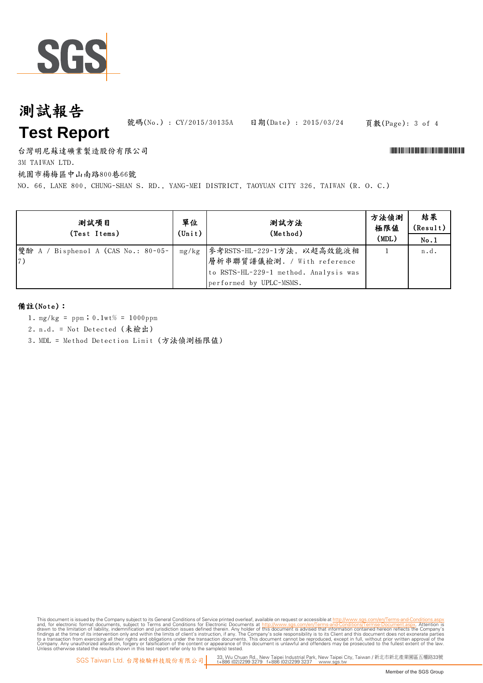

## 測試報告 **Test Report**

號碼(No.): CY/2015/30135A 日期(Date): 2015/03/24 頁數(Page): 3 of 4

台灣明尼蘇達礦業製造股份有限公司 \*CY/2015/30135A\*

3M TAIWAN LTD.

桃園市楊梅區中山南路800巷66號

NO. 66, LANE 800, CHUNG-SHAN S. RD., YANG-MEI DISTRICT, TAOYUAN CITY 326, TAIWAN (R. O. C.)

| 測試項目<br>(Test Items)                              | 單位<br>$(\text{Unit})$ | 測試方法<br>(Method)                                                                                                              | 方法偵測<br>極限値<br>(MDL) | 結果<br>(Result)<br>No.1 |
|---------------------------------------------------|-----------------------|-------------------------------------------------------------------------------------------------------------------------------|----------------------|------------------------|
| 雙酚 A / Bisphenol A (CAS No.: 80-05-<br>$\vert 7)$ | mg/kg                 | 参考RSTS-HL-229-1方法, 以超高效能液相<br>層析串聯質譜儀檢測. / With reference<br>to RSTS-HL-229-1 method. Analysis was<br>performed by UPLC-MSMS. |                      | n.d.                   |

#### 備註(Note):

- 1. mg/kg = ppm;0.1wt% = 1000ppm
- 2. n.d. = Not Detected (未檢出)
- 3. MDL = Method Detection Limit (方法偵測極限值)